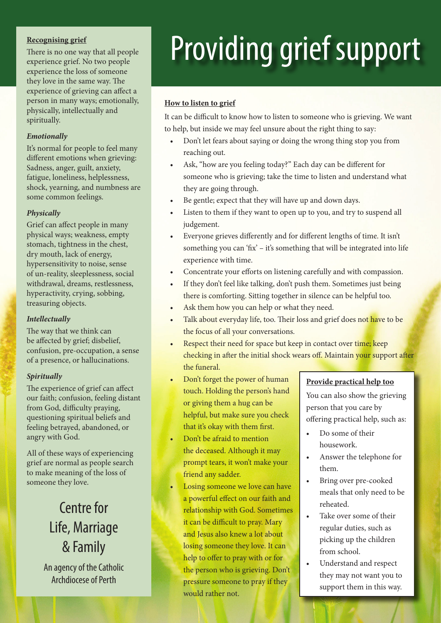There is no one way that all people experience grief. No two people experience the loss of someone they love in the same way. The experience of grieving can affect a person in many ways; emotionally, physically, intellectually and spiritually.

#### *Emotionally*

It's normal for people to feel many different emotions when grieving: Sadness, anger, guilt, anxiety, fatigue, loneliness, helplessness, shock, yearning, and numbness are some common feelings.

#### *Physically*

Grief can affect people in many physical ways; weakness, empty stomach, tightness in the chest, dry mouth, lack of energy, hypersensitivity to noise, sense of un-reality, sleeplessness, social withdrawal, dreams, restlessness, hyperactivity, crying, sobbing, treasuring objects.

#### *Intellectually*

The way that we think can be affected by grief; disbelief, confusion, pre-occupation, a sense of a presence, or hallucinations.

#### *Spiritually*

The experience of grief can affect our faith; confusion, feeling distant from God, difficulty praying, questioning spiritual beliefs and feeling betrayed, abandoned, or angry with God.

All of these ways of experiencing grief are normal as people search to make meaning of the loss of someone they love.

## Centre for Life, Marriage & Family

An agency of the Catholic Archdiocese of Perth

# Recognising grief There is no one way that all people **Providing**  $\alpha$  **rief** Support

#### **How to listen to grief**

It can be difficult to know how to listen to someone who is grieving. We want to help, but inside we may feel unsure about the right thing to say:

- Don't let fears about saying or doing the wrong thing stop you from reaching out.
- Ask, "how are you feeling today?" Each day can be different for someone who is grieving; take the time to listen and understand what they are going through.
- Be gentle; expect that they will have up and down days.
- Listen to them if they want to open up to you, and try to suspend all judgement.
- Everyone grieves differently and for different lengths of time. It isn't something you can 'fix' – it's something that will be integrated into life experience with time.
- Concentrate your efforts on listening carefully and with compassion.
- If they don't feel like talking, don't push them. Sometimes just being there is comforting. Sitting together in silence can be helpful too.
- Ask them how you can help or what they need.
- Talk about everyday life, too. Their loss and grief does not have to be the focus of all your conversations.
- Respect their need for space but keep in contact over time; keep checking in after the initial shock wears off. Maintain your support after the funeral.
- Don't forget the power of human touch. Holding the person's hand or giving them a hug can be helpful, but make sure you check that it's okay with them first.
- Don't be afraid to mention the deceased. Although it may prompt tears, it won't make your friend any sadder.
- Losing someone we love can have a powerful effect on our faith and relationship with God. Sometimes it can be difficult to pray. Mary and Jesus also knew a lot about losing someone they love. It can help to offer to pray with or for the person who is grieving. Don't pressure someone to pray if they would rather not.

#### **Provide practical help too**

You can also show the grieving person that you care by offering practical help, such as:

- Do some of their housework.
- Answer the telephone for them.
- Bring over pre-cooked meals that only need to be reheated.
- Take over some of their regular duties, such as picking up the children from school.
- Understand and respect they may not want you to support them in this way.